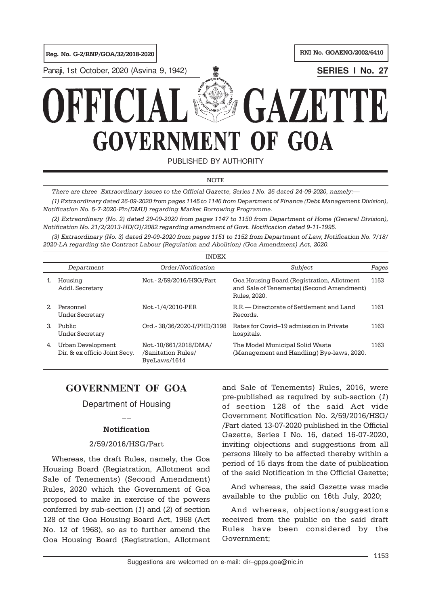Reg. No. G-2/RNP/GOA/32/2018-2020 RNI No. GOAENG/2002/6410

Panaji, 1st October, 2020 (Asvina 9, 1942) **SERIES I No. 27**



PUBLISHED BY AUTHORITY

**NOTE** 

There are three Extraordinary issues to the Official Gazette, Series I No. 26 dated 24-09-2020, namely:—

(1) Extraordinary dated 26-09-2020 from pages 1145 to 1146 from Department of Finance (Debt Management Division), Notification No. 5-7-2020-Fin(DMU) regarding Market Borrowing Programme.

(2) Extraordinary (No. 2) dated 29-09-2020 from pages 1147 to 1150 from Department of Home (General Division), Notification No. 21/2/2013-HD(G)/2082 regarding amendment of Govt. Notification dated 9-11-1995.

(3) Extraordinary (No. 3) dated 29-09-2020 from pages 1151 to 1152 from Department of Law, Notification No. 7/18/ 2020-LA regarding the Contract Labour (Regulation and Abolition) (Goa Amendment) Act, 2020.

| <b>INDEX</b> |                                                    |                                                             |                                                                                                         |       |
|--------------|----------------------------------------------------|-------------------------------------------------------------|---------------------------------------------------------------------------------------------------------|-------|
|              | Department                                         | Order/Notification                                          | Subject                                                                                                 | Pages |
| 1.           | Housing<br>Addl. Secretary                         | Not. - 2/59/2016/HSG/Part                                   | Goa Housing Board (Registration, Allotment<br>and Sale of Tenements) (Second Amendment)<br>Rules, 2020. | 1153  |
| 2            | Personnel<br>Under Secretary                       | Not.-1/4/2010-PER                                           | R.R. Directorate of Settlement and Land<br>Records.                                                     | 1161  |
| 3.           | Public<br><b>Under Secretary</b>                   | Ord. - 38/36/2020-I/PHD/3198                                | Rates for Covid–19 admission in Private<br>hospitals.                                                   | 1163  |
| 4.           | Urban Development<br>Dir. & ex officio Joint Secy. | Not.-10/661/2018/DMA/<br>/Sanitation Rules/<br>ByeLaws/1614 | The Model Municipal Solid Waste<br>(Management and Handling) Bye-laws, 2020.                            | 1163  |

# **GOVERNMENT OF GOA**

## Department of Housing  $\overline{a}$

## Notification

## 2/59/2016/HSG/Part

Whereas, the draft Rules, namely, the Goa Housing Board (Registration, Allotment and Sale of Tenements) (Second Amendment) Rules, 2020 which the Government of Goa proposed to make in exercise of the powers conferred by sub-section (1) and (2) of section 128 of the Goa Housing Board Act, 1968 (Act No. 12 of 1968), so as to further amend the Goa Housing Board (Registration, Allotment and Sale of Tenements) Rules, 2016, were pre-published as required by sub-section (1) of section 128 of the said Act vide Government Notification No. 2/59/2016/HSG/ /Part dated 13-07-2020 published in the Official Gazette, Series I No. 16, dated 16-07-2020, inviting objections and suggestions from all persons likely to be affected thereby within a period of 15 days from the date of publication of the said Notification in the Official Gazette;

And whereas, the said Gazette was made available to the public on 16th July, 2020;

And whereas, objections/suggestions received from the public on the said draft Rules have been considered by the Government;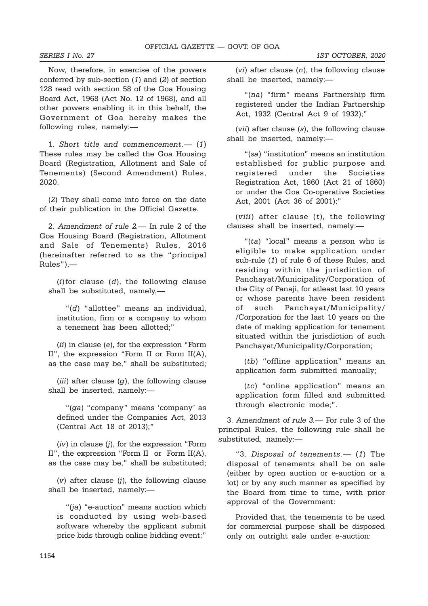Now, therefore, in exercise of the powers conferred by sub-section (1) and (2) of section 128 read with section 58 of the Goa Housing Board Act, 1968 (Act No. 12 of 1968), and all other powers enabling it in this behalf, the Government of Goa hereby makes the following rules, namely:—

1. Short title and commencement.— (1) These rules may be called the Goa Housing Board (Registration, Allotment and Sale of Tenements) (Second Amendment) Rules, 2020.

(2) They shall come into force on the date of their publication in the Official Gazette.

2. Amendment of rule 2.— In rule 2 of the Goa Housing Board (Registration, Allotment and Sale of Tenements) Rules, 2016 (hereinafter referred to as the "principal Rules"),—

 $(i)$  for clause  $(d)$ , the following clause shall be substituted, namely,—

"(d) "allottee" means an individual, institution, firm or a company to whom a tenement has been allotted;"

(ii) in clause (e), for the expression "Form II", the expression "Form II or Form II(A), as the case may be," shall be substituted;

 $(iii)$  after clause  $(g)$ , the following clause shall be inserted, namely:—

"(ga) "company" means 'company' as defined under the Companies Act, 2013 (Central Act 18 of 2013);"

 $(iv)$  in clause  $(j)$ , for the expression "Form II", the expression "Form II or Form II(A), as the case may be," shall be substituted;

 $(v)$  after clause  $(i)$ , the following clause shall be inserted, namely:—

"(ja) "e-auction" means auction which is conducted by using web-based software whereby the applicant submit price bids through online bidding event;"

(*vi*) after clause  $(n)$ , the following clause shall be inserted, namely:—

"(na) "firm" means Partnership firm registered under the Indian Partnership Act, 1932 (Central Act 9 of 1932);"

(vii) after clause (s), the following clause shall be inserted, namely:—

"(sa) "institution" means an institution established for public purpose and registered under the Societies Registration Act, 1860 (Act 21 of 1860) or under the Goa Co-operative Societies Act, 2001 (Act 36 of 2001);"

(*viii*) after clause  $(t)$ , the following clauses shall be inserted, namely:—

"(ta) "local" means a person who is eligible to make application under sub-rule (1) of rule 6 of these Rules, and residing within the jurisdiction of Panchayat/Municipality/Corporation of the City of Panaji, for atleast last 10 years or whose parents have been resident of such Panchayat/Municipality/ /Corporation for the last 10 years on the date of making application for tenement situated within the jurisdiction of such Panchayat/Municipality/Corporation;

(tb) "offline application" means an application form submitted manually;

(tc) "online application" means an application form filled and submitted through electronic mode;".

3. Amendment of rule 3.— For rule 3 of the principal Rules, the following rule shall be substituted, namely:—

"3. Disposal of tenements.— (1) The disposal of tenements shall be on sale (either by open auction or e-auction or a lot) or by any such manner as specified by the Board from time to time, with prior approval of the Government:

Provided that, the tenements to be used for commercial purpose shall be disposed only on outright sale under e-auction: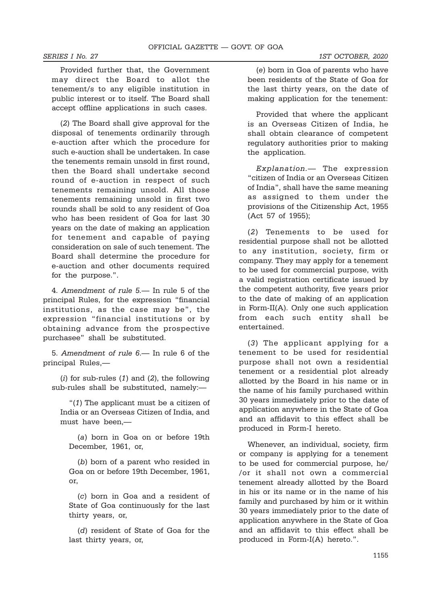Provided further that, the Government may direct the Board to allot the tenement/s to any eligible institution in public interest or to itself. The Board shall accept offline applications in such cases.

(2) The Board shall give approval for the disposal of tenements ordinarily through e-auction after which the procedure for such e-auction shall be undertaken. In case the tenements remain unsold in first round, then the Board shall undertake second round of e-auction in respect of such tenements remaining unsold. All those tenements remaining unsold in first two rounds shall be sold to any resident of Goa who has been resident of Goa for last 30 years on the date of making an application for tenement and capable of paying consideration on sale of such tenement. The Board shall determine the procedure for e-auction and other documents required for the purpose.".

4. Amendment of rule 5.— In rule 5 of the principal Rules, for the expression "financial institutions, as the case may be", the expression "financial institutions or by obtaining advance from the prospective purchasee" shall be substituted.

5. Amendment of rule 6.— In rule 6 of the principal Rules,—

 $(i)$  for sub-rules  $(1)$  and  $(2)$ , the following sub-rules shall be substituted, namely:—

"(1) The applicant must be a citizen of India or an Overseas Citizen of India, and must have been,—

(a) born in Goa on or before 19th December, 1961, or,

(b) born of a parent who resided in Goa on or before 19th December, 1961, or,

(c) born in Goa and a resident of State of Goa continuously for the last thirty years, or,

(d) resident of State of Goa for the last thirty years, or,

(e) born in Goa of parents who have been residents of the State of Goa for the last thirty years, on the date of making application for the tenement:

Provided that where the applicant is an Overseas Citizen of India, he shall obtain clearance of competent regulatory authorities prior to making the application.

Explanation.— The expression "citizen of India or an Overseas Citizen of India", shall have the same meaning as assigned to them under the provisions of the Citizenship Act, 1955 (Act 57 of 1955);

(2) Tenements to be used for residential purpose shall not be allotted to any institution, society, firm or company. They may apply for a tenement to be used for commercial purpose, with a valid registration certificate issued by the competent authority, five years prior to the date of making of an application in Form-II(A). Only one such application from each such entity shall be entertained.

(3) The applicant applying for a tenement to be used for residential purpose shall not own a residential tenement or a residential plot already allotted by the Board in his name or in the name of his family purchased within 30 years immediately prior to the date of application anywhere in the State of Goa and an affidavit to this effect shall be produced in Form-I hereto.

Whenever, an individual, society, firm or company is applying for a tenement to be used for commercial purpose, he/ /or it shall not own a commercial tenement already allotted by the Board in his or its name or in the name of his family and purchased by him or it within 30 years immediately prior to the date of application anywhere in the State of Goa and an affidavit to this effect shall be produced in Form-I(A) hereto.".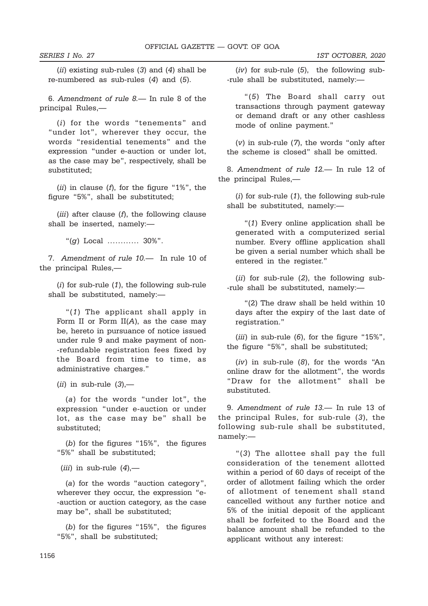$(ii)$  existing sub-rules  $(3)$  and  $(4)$  shall be re-numbered as sub-rules (4) and (5).

6. Amendment of rule 8.— In rule 8 of the principal Rules,—

(i) for the words "tenements" and "under lot", wherever they occur, the words "residential tenements" and the expression "under e-auction or under lot, as the case may be", respectively, shall be substituted;

(*ii*) in clause (*f*), for the figure "1%", the figure "5%", shall be substituted;

(*iii*) after clause  $(f)$ , the following clause shall be inserted, namely:—

"(g) Local ………… 30%".

7. Amendment of rule 10.— In rule 10 of the principal Rules,—

(i) for sub-rule (1), the following sub-rule shall be substituted, namely:—

"(1) The applicant shall apply in Form II or Form  $II(A)$ , as the case may be, hereto in pursuance of notice issued under rule 9 and make payment of non- -refundable registration fees fixed by the Board from time to time, as administrative charges."

(*ii*) in sub-rule  $(3)$ ,—

(a) for the words "under lot", the expression "under e-auction or under lot, as the case may be" shall be substituted;

(b) for the figures "15%", the figures "5%" shall be substituted;

(*iii*) in sub-rule  $(4)$ ,—

(a) for the words "auction category", wherever they occur, the expression "e- -auction or auction category, as the case may be", shall be substituted;

(b) for the figures "15%", the figures "5%", shall be substituted;

 $(iv)$  for sub-rule  $(5)$ , the following sub--rule shall be substituted, namely:—

"(5) The Board shall carry out transactions through payment gateway or demand draft or any other cashless mode of online payment."

 $(v)$  in sub-rule  $(7)$ , the words "only after the scheme is closed" shall be omitted.

8. Amendment of rule 12.— In rule 12 of the principal Rules,—

 $(i)$  for sub-rule  $(1)$ , the following sub-rule shall be substituted, namely:—

"(1) Every online application shall be generated with a computerized serial number. Every offline application shall be given a serial number which shall be entered in the register."

(ii) for sub-rule (2), the following sub- -rule shall be substituted, namely:—

"(2) The draw shall be held within 10 days after the expiry of the last date of registration."

 $(iii)$  in sub-rule  $(6)$ , for the figure "15%", the figure "5%", shall be substituted;

(iv) in sub-rule (8), for the words "An online draw for the allotment", the words "Draw for the allotment" shall be substituted.

9. Amendment of rule 13.— In rule 13 of the principal Rules, for sub-rule (3), the following sub-rule shall be substituted, namely:—

"(3) The allottee shall pay the full consideration of the tenement allotted within a period of 60 days of receipt of the order of allotment failing which the order of allotment of tenement shall stand cancelled without any further notice and 5% of the initial deposit of the applicant shall be forfeited to the Board and the balance amount shall be refunded to the applicant without any interest: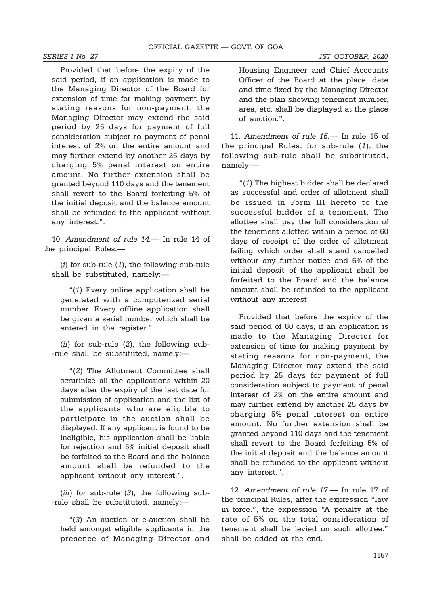Provided that before the expiry of the said period, if an application is made to the Managing Director of the Board for extension of time for making payment by stating reasons for non-payment, the Managing Director may extend the said period by 25 days for payment of full consideration subject to payment of penal interest of 2% on the entire amount and may further extend by another 25 days by charging 5% penal interest on entire amount. No further extension shall be granted beyond 110 days and the tenement shall revert to the Board forfeiting 5% of the initial deposit and the balance amount shall be refunded to the applicant without any interest.".

10. Amendment of rule 14.— In rule 14 of the principal Rules,—

(i) for sub-rule (1), the following sub-rule shall be substituted, namely:—

"(1) Every online application shall be generated with a computerized serial number. Every offline application shall be given a serial number which shall be entered in the register.".

(ii) for sub-rule (2), the following sub- -rule shall be substituted, namely:—

"(2) The Allotment Committee shall scrutinize all the applications within 20 days after the expiry of the last date for submission of application and the list of the applicants who are eligible to participate in the auction shall be displayed. If any applicant is found to be ineligible, his application shall be liable for rejection and 5% initial deposit shall be forfeited to the Board and the balance amount shall be refunded to the applicant without any interest.".

(*iii*) for sub-rule  $(3)$ , the following sub--rule shall be substituted, namely:—

"(3) An auction or e-auction shall be held amongst eligible applicants in the presence of Managing Director and Housing Engineer and Chief Accounts Officer of the Board at the place, date and time fixed by the Managing Director and the plan showing tenement number, area, etc. shall be displayed at the place of auction.".

11. Amendment of rule 15.— In rule 15 of the principal Rules, for sub-rule (1), the following sub-rule shall be substituted, namely:—

"(1) The highest bidder shall be declared as successful and order of allotment shall be issued in Form III hereto to the successful bidder of a tenement. The allottee shall pay the full consideration of the tenement allotted within a period of 60 days of receipt of the order of allotment failing which order shall stand cancelled without any further notice and 5% of the initial deposit of the applicant shall be forfeited to the Board and the balance amount shall be refunded to the applicant without any interest:

Provided that before the expiry of the said period of 60 days, if an application is made to the Managing Director for extension of time for making payment by stating reasons for non-payment, the Managing Director may extend the said period by 25 days for payment of full consideration subject to payment of penal interest of 2% on the entire amount and may further extend by another 25 days by charging 5% penal interest on entire amount. No further extension shall be granted beyond 110 days and the tenement shall revert to the Board forfeiting 5% of the initial deposit and the balance amount shall be refunded to the applicant without any interest.".

12. Amendment of rule 17.— In rule 17 of the principal Rules, after the expression "law in force.", the expression "A penalty at the rate of 5% on the total consideration of tenement shall be levied on such allottee." shall be added at the end.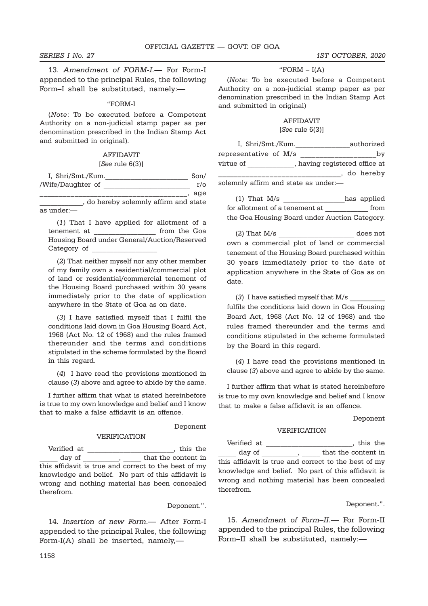13. Amendment of FORM-I.- For Form-I appended to the principal Rules, the following Form–I shall be substituted, namely:—

#### "FORM-I

(Note: To be executed before a Competent Authority on a non-judicial stamp paper as per denomination prescribed in the Indian Stamp Act and submitted in original).

## AFFIDAVIT

### $[See rule 6(3)]$

| I, Shri/Smt./Kum. |                                     | Son/       |
|-------------------|-------------------------------------|------------|
| /Wife/Daughter of |                                     | $r/\sigma$ |
|                   |                                     | age        |
|                   | do hereby solemnly affirm and state |            |

as under:—

(1) That I have applied for allotment of a tenement at  $\hfill\text{from the Goa}\xspace$ Housing Board under General/Auction/Reserved Category of

(2) That neither myself nor any other member of my family own a residential/commercial plot of land or residential/commercial tenement of the Housing Board purchased within 30 years immediately prior to the date of application anywhere in the State of Goa as on date.

(3) I have satisfied myself that I fulfil the conditions laid down in Goa Housing Board Act, 1968 (Act No. 12 of 1968) and the rules framed thereunder and the terms and conditions stipulated in the scheme formulated by the Board in this regard.

(4) I have read the provisions mentioned in clause (3) above and agree to abide by the same.

I further affirm that what is stated hereinbefore is true to my own knowledge and belief and I know that to make a false affidavit is an offence.

#### Deponent

#### VERIFICATION

Verified at \_\_\_\_\_\_\_\_\_\_\_\_\_\_\_\_\_\_\_\_\_\_\_\_, this the day of \_\_\_\_\_\_\_\_\_\_, \_\_\_\_\_\_ that the content in this affidavit is true and correct to the best of my knowledge and belief. No part of this affidavit is wrong and nothing material has been concealed therefrom.

#### Deponent.".

14. Insertion of new Form.— After Form-I appended to the principal Rules, the following Form-I(A) shall be inserted, namely,—

### " $FORM - I(A)$

(Note: To be executed before a Competent Authority on a non-judicial stamp paper as per denomination prescribed in the Indian Stamp Act and submitted in original)

### AFFIDAVIT [See rule 6(3)]

I, Shri/Smt./Kum. authorized representative of M/s \_\_\_\_\_\_\_\_\_\_\_\_\_\_\_\_\_\_\_\_by virtue of  $\qquad \qquad$ , having registered office at \_\_\_\_\_\_\_\_\_\_\_\_\_\_\_\_\_\_\_\_\_\_\_\_\_\_\_\_\_\_\_, do hereby solemnly affirm and state as under:—

| $(1)$ That M/s                                | has applied |
|-----------------------------------------------|-------------|
| for allotment of a tenement at                | from        |
| the Goa Housing Board under Auction Category. |             |

 $(2)$  That  $M/s$  does not own a commercial plot of land or commercial tenement of the Housing Board purchased within 30 years immediately prior to the date of application anywhere in the State of Goa as on date.

(3) I have satisfied myself that  $M/s$ fulfils the conditions laid down in Goa Housing Board Act, 1968 (Act No. 12 of 1968) and the rules framed thereunder and the terms and conditions stipulated in the scheme formulated by the Board in this regard.

(4) I have read the provisions mentioned in clause (3) above and agree to abide by the same.

I further affirm that what is stated hereinbefore is true to my own knowledge and belief and I know that to make a false affidavit is an offence.

Deponent

#### VERIFICATION

Verified at \_\_\_\_\_\_\_\_\_\_\_\_\_\_\_\_\_\_\_\_\_\_\_\_, this the day of \_\_\_\_\_\_\_\_\_, \_\_\_\_\_\_ that the content in this affidavit is true and correct to the best of my knowledge and belief. No part of this affidavit is wrong and nothing material has been concealed therefrom.

#### Deponent.".

15. Amendment of Form-II.- For Form-II appended to the principal Rules, the following Form–II shall be substituted, namely:—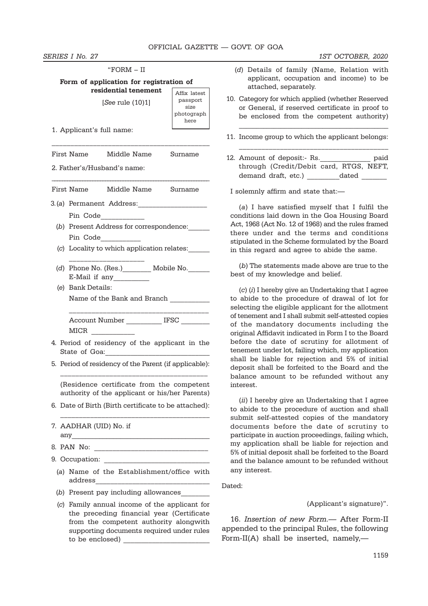SERIES I No. 27 1ST OCTOBER, 2020

| "FORM - II                                                                                                                           |                                        |  |  |
|--------------------------------------------------------------------------------------------------------------------------------------|----------------------------------------|--|--|
| Form of application for registration of<br>residential tenement                                                                      | Affix latest                           |  |  |
| [See rule (10)1]                                                                                                                     | passport<br>size<br>photograph<br>here |  |  |
| 1. Applicant's full name:                                                                                                            |                                        |  |  |
| First Name Middle Name                                                                                                               | Surname                                |  |  |
| 2. Father's/Husband's name:                                                                                                          |                                        |  |  |
| First Name Middle Name Surname                                                                                                       |                                        |  |  |
| 3.(a) Permanent Address:____________________                                                                                         |                                        |  |  |
| Pin Code                                                                                                                             |                                        |  |  |
| (b) Present Address for correspondence:<br>Pin Code                                                                                  |                                        |  |  |
| (c) Locality to which application relates:                                                                                           |                                        |  |  |
| (d) Phone No. (Res.)__________ Mobile No._______<br>E-Mail if any                                                                    |                                        |  |  |
| (e) Bank Details:                                                                                                                    |                                        |  |  |
| Name of the Bank and Branch __________                                                                                               |                                        |  |  |
| Account Number ____________ IFSC ________<br>MICR                                                                                    |                                        |  |  |
| 4. Period of residency of the applicant in the<br>State of Goa:                                                                      |                                        |  |  |
| 5. Period of residency of the Parent (if applicable):                                                                                |                                        |  |  |
| (Residence certificate from the competent<br>authority of the applicant or his/her Parents)                                          |                                        |  |  |
| 6. Date of Birth (Birth certificate to be attached):                                                                                 |                                        |  |  |
| 7. AADHAR (UID) No. if                                                                                                               |                                        |  |  |
|                                                                                                                                      |                                        |  |  |
| 9. Occupation:                                                                                                                       |                                        |  |  |
| (a) Name of the Establishment/office with                                                                                            |                                        |  |  |
| (b) Present pay including allowances                                                                                                 |                                        |  |  |
| (c) Family annual income of the applicant for<br>the preceding financial year (Certificate<br>from the competent authority alongwith |                                        |  |  |

supporting documents required under rules

to be enclosed) \_\_\_\_\_\_\_\_\_\_\_\_\_\_\_\_\_\_\_\_\_\_\_\_

| (d) Details of family (Name, Relation with |  |
|--------------------------------------------|--|
| applicant, occupation and income) to be    |  |
| attached, separately.                      |  |

- 10. Category for which applied (whether Reserved or General, if reserved certificate in proof to be enclosed from the competent authority)
- 11. Income group to which the applicant belongs:

 $\_$  , and the set of the set of the set of the set of the set of the set of the set of the set of the set of the set of the set of the set of the set of the set of the set of the set of the set of the set of the set of th

\_\_\_\_\_\_\_\_\_\_\_\_\_\_\_\_\_\_\_\_\_\_\_\_\_\_\_\_\_\_\_\_\_\_\_\_\_\_\_\_

2. Amount of deposit:- Rs. \_\_\_\_\_\_\_\_\_\_\_\_\_\_ paid through (Credit/Debit card, RTGS, NEFT, demand draft, etc.) \_\_\_\_\_\_\_\_\_\_\_dated \_\_\_\_\_\_\_\_

I solemnly affirm and state that:—

(a) I have satisfied myself that I fulfil the conditions laid down in the Goa Housing Board Act, 1968 (Act No. 12 of 1968) and the rules framed there under and the terms and conditions stipulated in the Scheme formulated by the Board in this regard and agree to abide the same.

(b) The statements made above are true to the best of my knowledge and belief.

 $(c)$  (i) I hereby give an Undertaking that I agree to abide to the procedure of drawal of lot for selecting the eligible applicant for the allotment of tenement and I shall submit self-attested copies of the mandatory documents including the original Affidavit indicated in Form I to the Board before the date of scrutiny for allotment of tenement under lot, failing which, my application shall be liable for rejection and 5% of initial deposit shall be forfeited to the Board and the balance amount to be refunded without any interest.

(*ii*) I hereby give an Undertaking that I agree to abide to the procedure of auction and shall submit self-attested copies of the mandatory documents before the date of scrutiny to participate in auction proceedings, failing which, my application shall be liable for rejection and 5% of initial deposit shall be forfeited to the Board and the balance amount to be refunded without any interest.

Dated:

#### (Applicant's signature)".

16. Insertion of new Form.— After Form-II appended to the principal Rules, the following Form-II(A) shall be inserted, namely,—